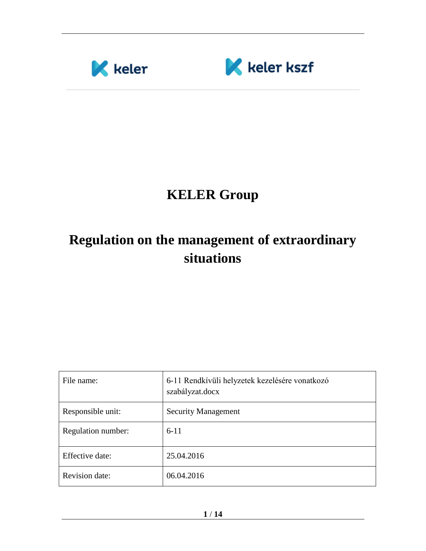



# **KELER Group**

# **Regulation on the management of extraordinary situations**

| File name:            | 6-11 Rendkívüli helyzetek kezelésére vonatkozó<br>szabályzat.docx |
|-----------------------|-------------------------------------------------------------------|
| Responsible unit:     | <b>Security Management</b>                                        |
| Regulation number:    | $6 - 11$                                                          |
| Effective date:       | 25.04.2016                                                        |
| <b>Revision date:</b> | 06.04.2016                                                        |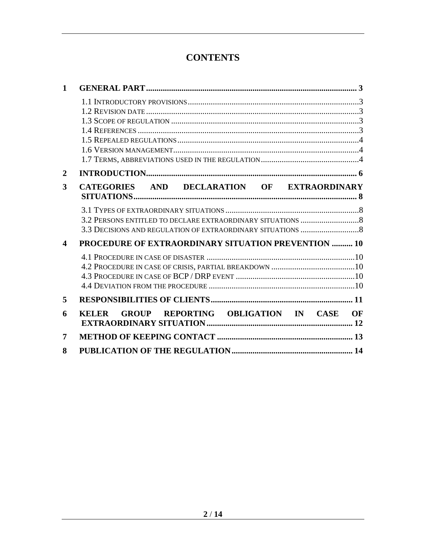## **CONTENTS**

| 1                          |                                                            |          |
|----------------------------|------------------------------------------------------------|----------|
|                            |                                                            |          |
| 2                          |                                                            |          |
| 3                          | CATEGORIES AND DECLARATION OF EXTRAORDINARY                |          |
|                            |                                                            |          |
| $\boldsymbol{\mathcal{L}}$ | <b>PROCEDURE OF EXTRAORDINARY SITUATION PREVENTION  10</b> |          |
|                            |                                                            |          |
| 5                          |                                                            |          |
| 6                          | <b>GROUP REPORTING OBLIGATION IN CASE</b><br><b>KELER</b>  | $\Omega$ |
| 7                          |                                                            |          |
| 8                          |                                                            |          |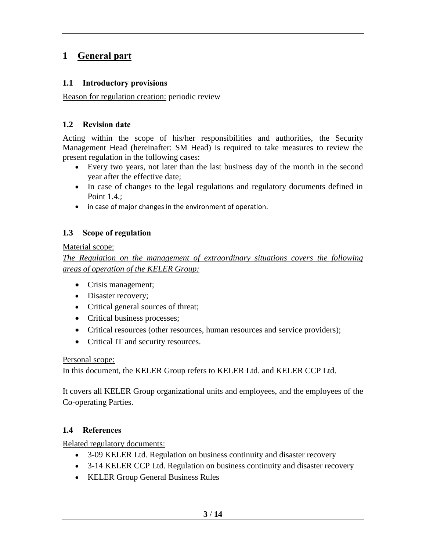### <span id="page-2-0"></span>**1 General part**

#### <span id="page-2-1"></span>**1.1 Introductory provisions**

<span id="page-2-2"></span>Reason for regulation creation: periodic review

#### **1.2 Revision date**

Acting within the scope of his/her responsibilities and authorities, the Security Management Head (hereinafter: SM Head) is required to take measures to review the present regulation in the following cases:

- Every two years, not later than the last business day of the month in the second year after the effective date;
- In case of changes to the legal regulations and regulatory documents defined in Point 1.4.;
- in case of major changes in the environment of operation.

#### <span id="page-2-3"></span>**1.3 Scope of regulation**

#### Material scope:

*The Regulation on the management of extraordinary situations covers the following areas of operation of the KELER Group:*

- Crisis management;
- Disaster recovery;
- Critical general sources of threat;
- Critical business processes;
- Critical resources (other resources, human resources and service providers);
- Critical IT and security resources.

Personal scope:

In this document, the KELER Group refers to KELER Ltd. and KELER CCP Ltd.

It covers all KELER Group organizational units and employees, and the employees of the Co-operating Parties.

#### <span id="page-2-4"></span>**1.4 References**

<span id="page-2-5"></span>Related regulatory documents:

- 3-09 KELER Ltd. Regulation on business continuity and disaster recovery
- <span id="page-2-6"></span>• 3-14 KELER CCP Ltd. Regulation on business continuity and disaster recovery
- KELER Group General Business Rules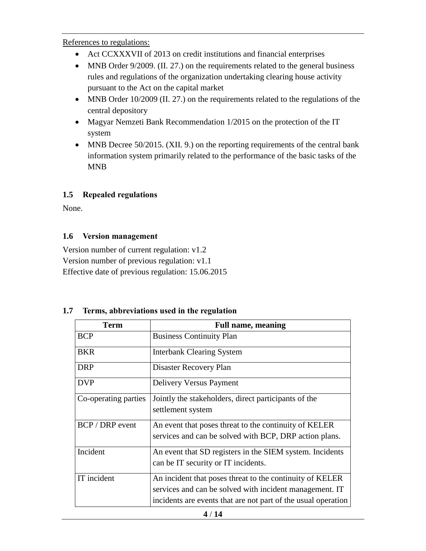References to regulations:

- Act CCXXXVII of 2013 on credit institutions and financial enterprises
- MNB Order 9/2009. (II. 27.) on the requirements related to the general business rules and regulations of the organization undertaking clearing house activity pursuant to the Act on the capital market
- MNB Order 10/2009 (II. 27.) on the requirements related to the regulations of the central depository
- Magyar Nemzeti Bank Recommendation 1/2015 on the protection of the IT system
- MNB Decree 50/2015. (XII. 9.) on the reporting requirements of the central bank information system primarily related to the performance of the basic tasks of the MNB

#### <span id="page-3-0"></span>**1.5 Repealed regulations**

<span id="page-3-1"></span>None.

#### **1.6 Version management**

Version number of current regulation: v1.2 Version number of previous regulation: v1.1 Effective date of previous regulation: 15.06.2015

# **Term Full name, meaning** BCP Business Continuity Plan BKR Interbank Clearing System DRP | Disaster Recovery Plan DVP Delivery Versus Payment Co-operating parties Jointly the stakeholders, direct participants of the settlement system  $BCP / DRP$  event  $\vert$  An event that poses threat to the continuity of KELER services and can be solved with BCP, DRP action plans. Incident An event that SD registers in the SIEM system. Incidents can be IT security or IT incidents. IT incident  $\vert$  An incident that poses threat to the continuity of KELER services and can be solved with incident management. IT incidents are events that are not part of the usual operation

#### <span id="page-3-2"></span>**1.7 Terms, abbreviations used in the regulation**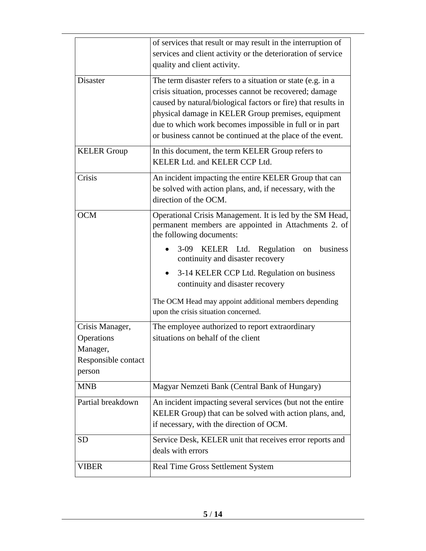|                     | of services that result or may result in the interruption of  |
|---------------------|---------------------------------------------------------------|
|                     | services and client activity or the deterioration of service  |
|                     |                                                               |
|                     | quality and client activity.                                  |
| <b>Disaster</b>     | The term disaster refers to a situation or state (e.g. in a   |
|                     | crisis situation, processes cannot be recovered; damage       |
|                     | caused by natural/biological factors or fire) that results in |
|                     | physical damage in KELER Group premises, equipment            |
|                     |                                                               |
|                     | due to which work becomes impossible in full or in part       |
|                     | or business cannot be continued at the place of the event.    |
| <b>KELER</b> Group  | In this document, the term KELER Group refers to              |
|                     | KELER Ltd. and KELER CCP Ltd.                                 |
| Crisis              |                                                               |
|                     | An incident impacting the entire KELER Group that can         |
|                     | be solved with action plans, and, if necessary, with the      |
|                     | direction of the OCM.                                         |
| <b>OCM</b>          | Operational Crisis Management. It is led by the SM Head,      |
|                     | permanent members are appointed in Attachments 2. of          |
|                     | the following documents:                                      |
|                     | 3-09 KELER Ltd. Regulation<br>business                        |
|                     | on<br>continuity and disaster recovery                        |
|                     | 3-14 KELER CCP Ltd. Regulation on business                    |
|                     | continuity and disaster recovery                              |
|                     |                                                               |
|                     | The OCM Head may appoint additional members depending         |
|                     | upon the crisis situation concerned.                          |
| Crisis Manager,     | The employee authorized to report extraordinary               |
| Operations          | situations on behalf of the client                            |
| Manager,            |                                                               |
|                     |                                                               |
| Responsible contact |                                                               |
| person              |                                                               |
| <b>MNB</b>          | Magyar Nemzeti Bank (Central Bank of Hungary)                 |
| Partial breakdown   | An incident impacting several services (but not the entire    |
|                     | KELER Group) that can be solved with action plans, and,       |
|                     | if necessary, with the direction of OCM.                      |
| <b>SD</b>           | Service Desk, KELER unit that receives error reports and      |
|                     | deals with errors                                             |
|                     |                                                               |
| VIBER               | Real Time Gross Settlement System                             |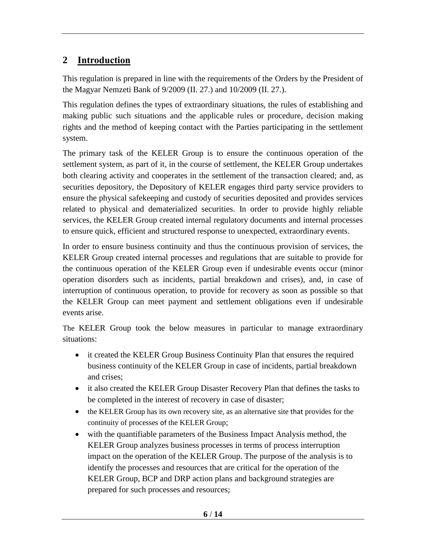## <span id="page-5-0"></span>**2 Introduction**

This regulation is prepared in line with the requirements of the Orders by the President of the Magyar Nemzeti Bank of 9/2009 (II. 27.) and 10/2009 (II. 27.).

This regulation defines the types of extraordinary situations, the rules of establishing and making public such situations and the applicable rules or procedure, decision making rights and the method of keeping contact with the Parties participating in the settlement system.

The primary task of the KELER Group is to ensure the continuous operation of the settlement system, as part of it, in the course of settlement, the KELER Group undertakes both clearing activity and cooperates in the settlement of the transaction cleared; and, as securities depository, the Depository of KELER engages third party service providers to ensure the physical safekeeping and custody of securities deposited and provides services related to physical and dematerialized securities. In order to provide highly reliable services, the KELER Group created internal regulatory documents and internal processes to ensure quick, efficient and structured response to unexpected, extraordinary events.

In order to ensure business continuity and thus the continuous provision of services, the KELER Group created internal processes and regulations that are suitable to provide for the continuous operation of the KELER Group even if undesirable events occur (minor operation disorders such as incidents, partial breakdown and crises), and, in case of interruption of continuous operation, to provide for recovery as soon as possible so that the KELER Group can meet payment and settlement obligations even if undesirable events arise.

The KELER Group took the below measures in particular to manage extraordinary situations:

- it created the KELER Group Business Continuity Plan that ensures the required business continuity of the KELER Group in case of incidents, partial breakdown and crises;
- it also created the KELER Group Disaster Recovery Plan that defines the tasks to be completed in the interest of recovery in case of disaster;
- the KELER Group has its own recovery site, as an alternative site that provides for the continuity of processes of the KELER Group;
- with the quantifiable parameters of the Business Impact Analysis method, the KELER Group analyzes business processes in terms of process interruption impact on the operation of the KELER Group. The purpose of the analysis is to identify the processes and resources that are critical for the operation of the KELER Group, BCP and DRP action plans and background strategies are prepared for such processes and resources;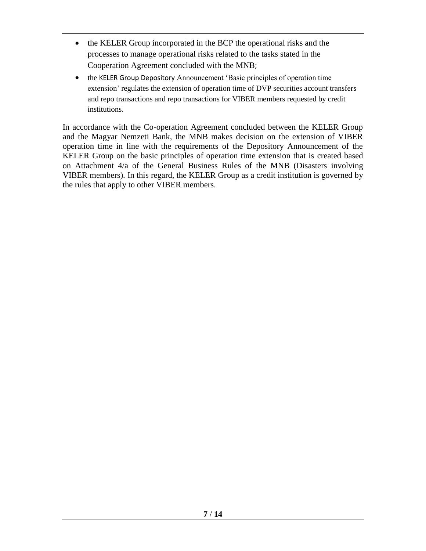- the KELER Group incorporated in the BCP the operational risks and the processes to manage operational risks related to the tasks stated in the Cooperation Agreement concluded with the MNB;
- the KELER Group Depository Announcement 'Basic principles of operation time extension' regulates the extension of operation time of DVP securities account transfers and repo transactions and repo transactions for VIBER members requested by credit institutions.

In accordance with the Co-operation Agreement concluded between the KELER Group and the Magyar Nemzeti Bank, the MNB makes decision on the extension of VIBER operation time in line with the requirements of the Depository Announcement of the KELER Group on the basic principles of operation time extension that is created based on Attachment 4/a of the General Business Rules of the MNB (Disasters involving VIBER members). In this regard, the KELER Group as a credit institution is governed by the rules that apply to other VIBER members.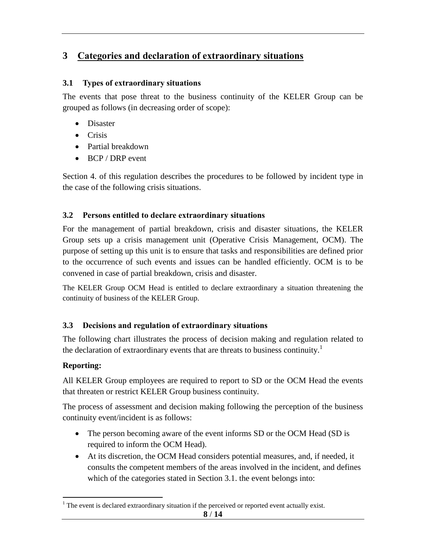## <span id="page-7-0"></span>**3 Categories and declaration of extraordinary situations**

#### <span id="page-7-1"></span>**3.1 Types of extraordinary situations**

The events that pose threat to the business continuity of the KELER Group can be grouped as follows (in decreasing order of scope):

- Disaster
- Crisis
- Partial breakdown
- BCP / DRP event

Section 4. of this regulation describes the procedures to be followed by incident type in the case of the following crisis situations.

#### <span id="page-7-2"></span>**3.2 Persons entitled to declare extraordinary situations**

For the management of partial breakdown, crisis and disaster situations, the KELER Group sets up a crisis management unit (Operative Crisis Management, OCM). The purpose of setting up this unit is to ensure that tasks and responsibilities are defined prior to the occurrence of such events and issues can be handled efficiently. OCM is to be convened in case of partial breakdown, crisis and disaster.

The KELER Group OCM Head is entitled to declare extraordinary a situation threatening the continuity of business of the KELER Group.

#### <span id="page-7-3"></span>**3.3 Decisions and regulation of extraordinary situations**

The following chart illustrates the process of decision making and regulation related to the declaration of extraordinary events that are threats to business continuity.<sup>1</sup>

#### **Reporting:**

All KELER Group employees are required to report to SD or the OCM Head the events that threaten or restrict KELER Group business continuity.

The process of assessment and decision making following the perception of the business continuity event/incident is as follows:

- The person becoming aware of the event informs SD or the OCM Head (SD is required to inform the OCM Head).
- At its discretion, the OCM Head considers potential measures, and, if needed, it consults the competent members of the areas involved in the incident, and defines which of the categories stated in Section 3.1. the event belongs into:

 $\overline{a}$ <sup>1</sup> The event is declared extraordinary situation if the perceived or reported event actually exist.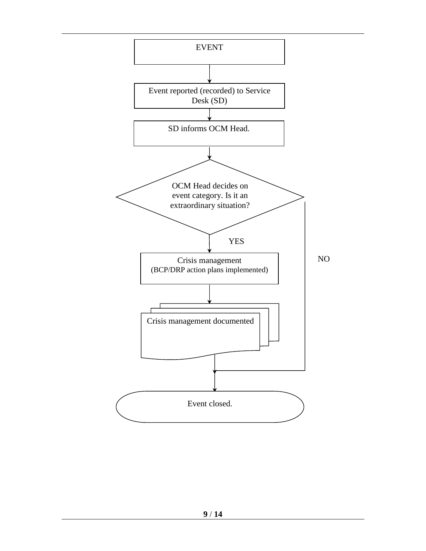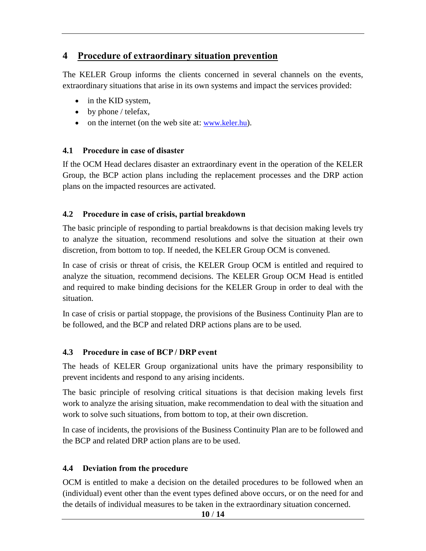### <span id="page-9-0"></span>**4 Procedure of extraordinary situation prevention**

The KELER Group informs the clients concerned in several channels on the events, extraordinary situations that arise in its own systems and impact the services provided:

- in the KID system,
- by phone / telefax,
- on the internet (on the web site at: [www.keler.hu](http://www.keler.hu/)).

#### <span id="page-9-1"></span>**4.1 Procedure in case of disaster**

If the OCM Head declares disaster an extraordinary event in the operation of the KELER Group, the BCP action plans including the replacement processes and the DRP action plans on the impacted resources are activated.

#### <span id="page-9-2"></span>**4.2 Procedure in case of crisis, partial breakdown**

The basic principle of responding to partial breakdowns is that decision making levels try to analyze the situation, recommend resolutions and solve the situation at their own discretion, from bottom to top. If needed, the KELER Group OCM is convened.

In case of crisis or threat of crisis, the KELER Group OCM is entitled and required to analyze the situation, recommend decisions. The KELER Group OCM Head is entitled and required to make binding decisions for the KELER Group in order to deal with the situation.

In case of crisis or partial stoppage, the provisions of the Business Continuity Plan are to be followed, and the BCP and related DRP actions plans are to be used.

#### <span id="page-9-3"></span>**4.3 Procedure in case of BCP / DRP event**

The heads of KELER Group organizational units have the primary responsibility to prevent incidents and respond to any arising incidents.

The basic principle of resolving critical situations is that decision making levels first work to analyze the arising situation, make recommendation to deal with the situation and work to solve such situations, from bottom to top, at their own discretion.

In case of incidents, the provisions of the Business Continuity Plan are to be followed and the BCP and related DRP action plans are to be used.

#### <span id="page-9-4"></span>**4.4 Deviation from the procedure**

OCM is entitled to make a decision on the detailed procedures to be followed when an (individual) event other than the event types defined above occurs, or on the need for and the details of individual measures to be taken in the extraordinary situation concerned.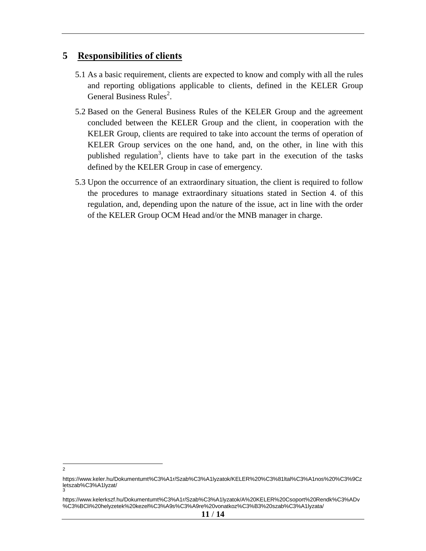#### <span id="page-10-0"></span>**5 Responsibilities of clients**

- 5.1 As a basic requirement, clients are expected to know and comply with all the rules and reporting obligations applicable to clients, defined in the KELER Group General Business Rules<sup>2</sup>.
- 5.2 Based on the General Business Rules of the KELER Group and the agreement concluded between the KELER Group and the client, in cooperation with the KELER Group, clients are required to take into account the terms of operation of KELER Group services on the one hand, and, on the other, in line with this published regulation<sup>3</sup>, clients have to take part in the execution of the tasks defined by the KELER Group in case of emergency.
- 5.3 Upon the occurrence of an extraordinary situation, the client is required to follow the procedures to manage extraordinary situations stated in Section 4. of this regulation, and, depending upon the nature of the issue, act in line with the order of the KELER Group OCM Head and/or the MNB manager in charge.

 $\frac{1}{2}$ 

https://www.keler.hu/Dokumentumt%C3%A1r/Szab%C3%A1lyzatok/KELER%20%C3%81ltal%C3%A1nos%20%C3%9Cz letszab%C3%A1lyzat/ 3

https://www.kelerkszf.hu/Dokumentumt%C3%A1r/Szab%C3%A1lyzatok/A%20KELER%20Csoport%20Rendk%C3%ADv %C3%BCli%20helyzetek%20kezel%C3%A9s%C3%A9re%20vonatkoz%C3%B3%20szab%C3%A1lyzata/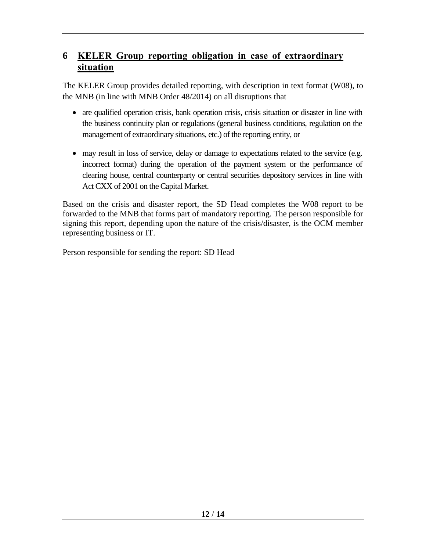## <span id="page-11-0"></span>**6 KELER Group reporting obligation in case of extraordinary situation**

The KELER Group provides detailed reporting, with description in text format (W08), to the MNB (in line with MNB Order 48/2014) on all disruptions that

- are qualified operation crisis, bank operation crisis, crisis situation or disaster in line with the business continuity plan or regulations (general business conditions, regulation on the management of extraordinary situations, etc.) of the reporting entity, or
- may result in loss of service, delay or damage to expectations related to the service (e.g. incorrect format) during the operation of the payment system or the performance of clearing house, central counterparty or central securities depository services in line with Act CXX of 2001 on the Capital Market.

Based on the crisis and disaster report, the SD Head completes the W08 report to be forwarded to the MNB that forms part of mandatory reporting. The person responsible for signing this report, depending upon the nature of the crisis/disaster, is the OCM member representing business or IT.

Person responsible for sending the report: SD Head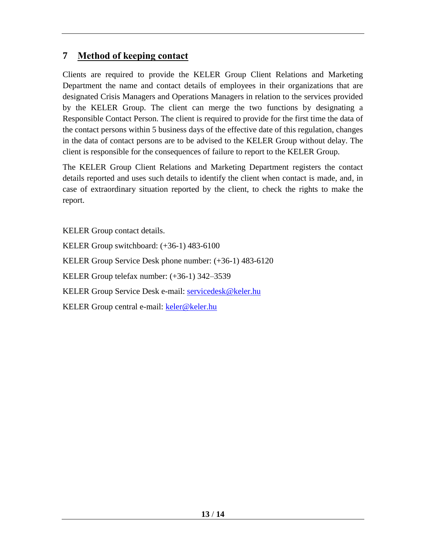## <span id="page-12-0"></span>**7 Method of keeping contact**

Clients are required to provide the KELER Group Client Relations and Marketing Department the name and contact details of employees in their organizations that are designated Crisis Managers and Operations Managers in relation to the services provided by the KELER Group. The client can merge the two functions by designating a Responsible Contact Person. The client is required to provide for the first time the data of the contact persons within 5 business days of the effective date of this regulation, changes in the data of contact persons are to be advised to the KELER Group without delay. The client is responsible for the consequences of failure to report to the KELER Group.

The KELER Group Client Relations and Marketing Department registers the contact details reported and uses such details to identify the client when contact is made, and, in case of extraordinary situation reported by the client, to check the rights to make the report.

KELER Group contact details. KELER Group switchboard: (+36-1) 483-6100 KELER Group Service Desk phone number: (+36-1) 483-6120 KELER Group telefax number: (+36-1) 342–3539 KELER Group Service Desk e-mail: [servicedesk@keler.hu](mailto:servicedesk@keler.hu) KELER Group central e-mail: [keler@keler.hu](mailto:keler@keler.hu)